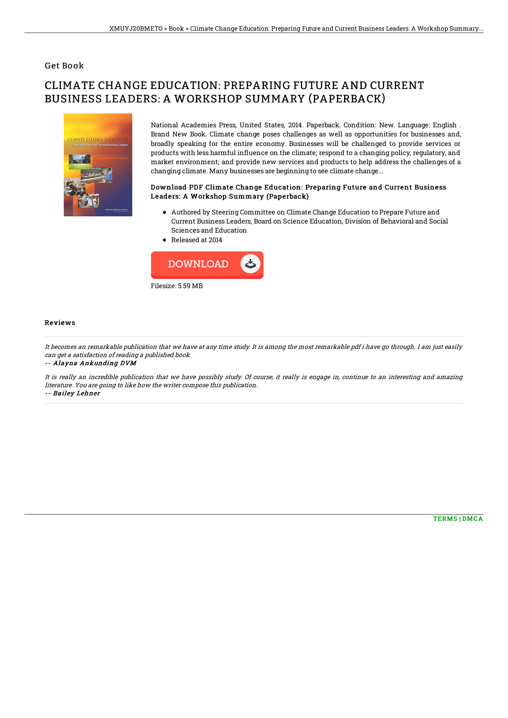### Get Book

# CLIMATE CHANGE EDUCATION: PREPARING FUTURE AND CURRENT BUSINESS LEADERS: A WORKSHOP SUMMARY (PAPERBACK)



National Academies Press, United States, 2014. Paperback. Condition: New. Language: English . Brand New Book. Climate change poses challenges as well as opportunities for businesses and, broadly speaking for the entire economy. Businesses will be challenged to provide services or products with less harmful in1uence on the climate; respond to a changing policy, regulatory, and market environment; and provide new services and products to help address the challenges of a changing climate. Many businesses are beginning to see climate change...

#### Download PDF Climate Change Education: Preparing Future and Current Business Leaders: A Workshop Summary (Paperback)

- Authored by Steering Committee on Climate Change Education to Prepare Future and Current Business Leaders, Board on Science Education, Division of Behavioral and Social Sciences and Education
- Released at 2014



#### Reviews

It becomes an remarkable publication that we have at any time study. It is among the most remarkable pdf i have go through. I am just easily can get <sup>a</sup> satisfaction of reading <sup>a</sup> published book.

-- Alayna Ankunding DVM

It is really an incredible publication that we have possibly study. Of course, it really is engage in, continue to an interesting and amazing literature. You are going to like how the writer compose this publication. -- Bailey Lehner